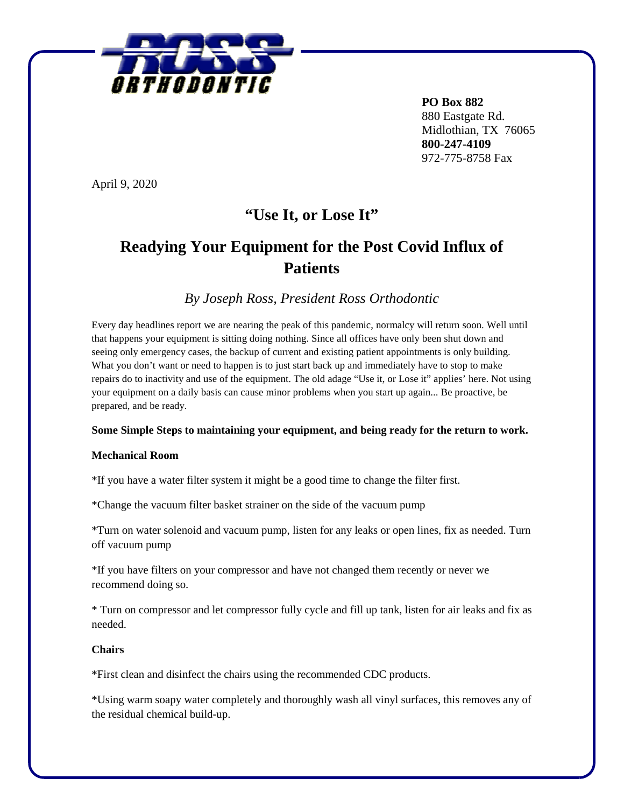

 **PO Box 882**  880 Eastgate Rd. Midlothian, TX 76065 **800-247-4109** 972-775-8758 Fax

April 9, 2020

# **"Use It, or Lose It"**

## **Readying Your Equipment for the Post Covid Influx of Patients**

*By Joseph Ross, President Ross Orthodontic* 

Every day headlines report we are nearing the peak of this pandemic, normalcy will return soon. Well until that happens your equipment is sitting doing nothing. Since all offices have only been shut down and seeing only emergency cases, the backup of current and existing patient appointments is only building. What you don't want or need to happen is to just start back up and immediately have to stop to make repairs do to inactivity and use of the equipment. The old adage "Use it, or Lose it" applies' here. Not using your equipment on a daily basis can cause minor problems when you start up again... Be proactive, be prepared, and be ready.

#### **Some Simple Steps to maintaining your equipment, and being ready for the return to work.**

#### **Mechanical Room**

\*If you have a water filter system it might be a good time to change the filter first.

\*Change the vacuum filter basket strainer on the side of the vacuum pump

\*Turn on water solenoid and vacuum pump, listen for any leaks or open lines, fix as needed. Turn off vacuum pump

\*If you have filters on your compressor and have not changed them recently or never we recommend doing so.

\* Turn on compressor and let compressor fully cycle and fill up tank, listen for air leaks and fix as needed.

## **Chairs**

\*First clean and disinfect the chairs using the recommended CDC products.

\*Using warm soapy water completely and thoroughly wash all vinyl surfaces, this removes any of the residual chemical build-up.